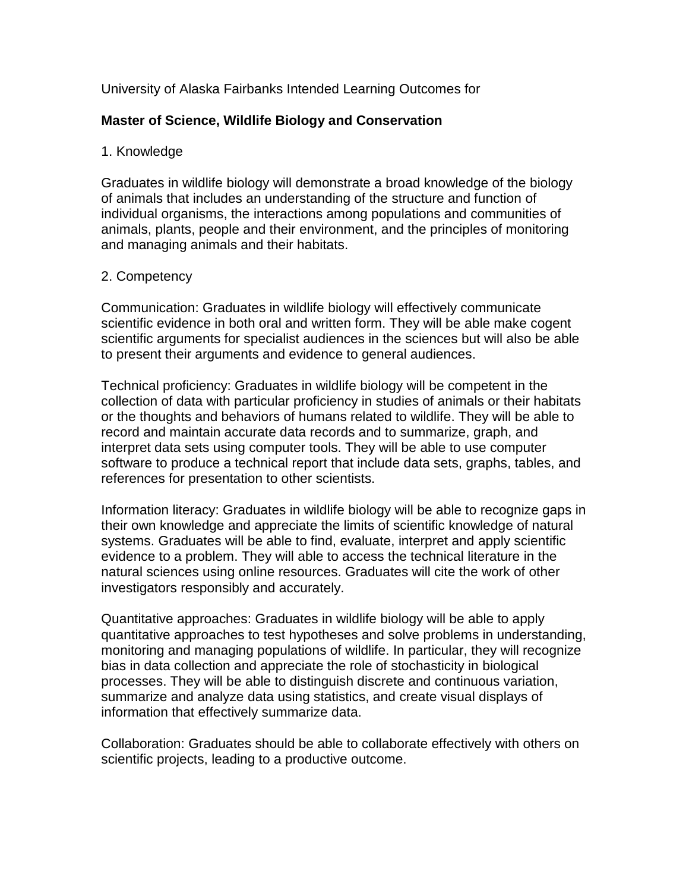## University of Alaska Fairbanks Intended Learning Outcomes for

## **Master of Science, Wildlife Biology and Conservation**

#### 1. Knowledge

Graduates in wildlife biology will demonstrate a broad knowledge of the biology of animals that includes an understanding of the structure and function of individual organisms, the interactions among populations and communities of animals, plants, people and their environment, and the principles of monitoring and managing animals and their habitats.

#### 2. Competency

Communication: Graduates in wildlife biology will effectively communicate scientific evidence in both oral and written form. They will be able make cogent scientific arguments for specialist audiences in the sciences but will also be able to present their arguments and evidence to general audiences.

Technical proficiency: Graduates in wildlife biology will be competent in the collection of data with particular proficiency in studies of animals or their habitats or the thoughts and behaviors of humans related to wildlife. They will be able to record and maintain accurate data records and to summarize, graph, and interpret data sets using computer tools. They will be able to use computer software to produce a technical report that include data sets, graphs, tables, and references for presentation to other scientists.

Information literacy: Graduates in wildlife biology will be able to recognize gaps in their own knowledge and appreciate the limits of scientific knowledge of natural systems. Graduates will be able to find, evaluate, interpret and apply scientific evidence to a problem. They will able to access the technical literature in the natural sciences using online resources. Graduates will cite the work of other investigators responsibly and accurately.

Quantitative approaches: Graduates in wildlife biology will be able to apply quantitative approaches to test hypotheses and solve problems in understanding, monitoring and managing populations of wildlife. In particular, they will recognize bias in data collection and appreciate the role of stochasticity in biological processes. They will be able to distinguish discrete and continuous variation, summarize and analyze data using statistics, and create visual displays of information that effectively summarize data.

Collaboration: Graduates should be able to collaborate effectively with others on scientific projects, leading to a productive outcome.